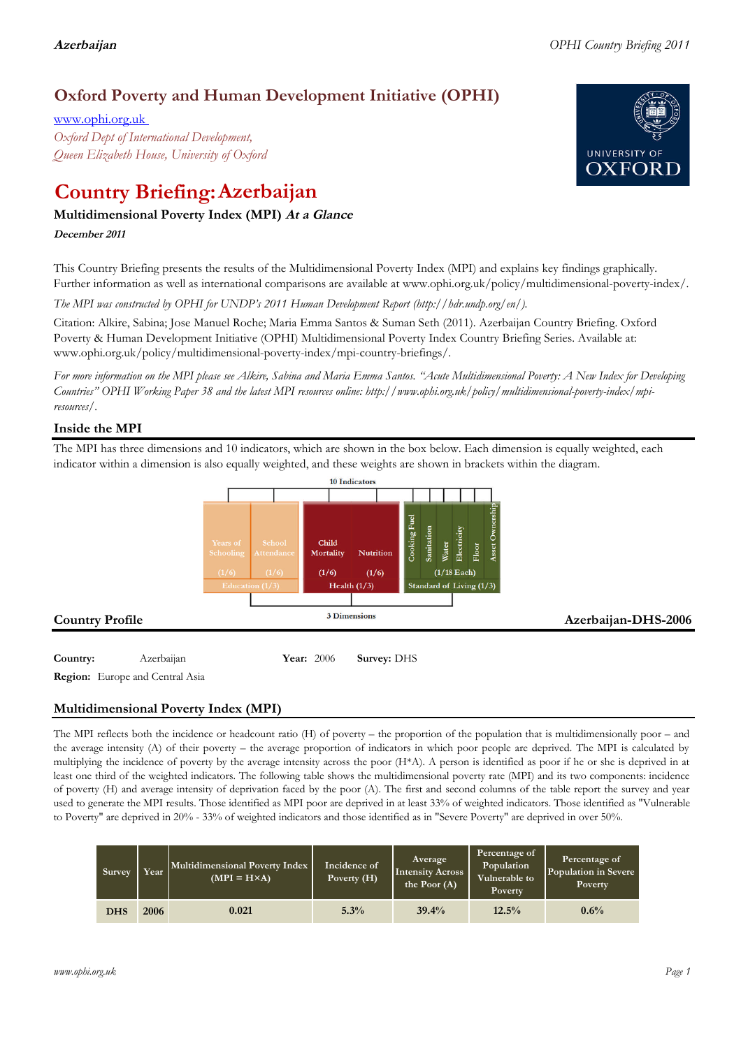## **Oxford Poverty and Human Development Initiative (OPHI)**

www.ophi.org.uk *Oxford Dept of International Development, Queen Elizabeth House, University of Oxford*

# **Country Briefing: Azerbaijan**

## **Multidimensional Poverty Index (MPI) At <sup>a</sup> Glance**

**December <sup>2011</sup>**

This Country Briefing presents the results of the Multidimensional Poverty Index (MPI) and explains key findings graphically. Further information as well as international comparisons are available at www.ophi.org.uk/policy/multidimensional-poverty-index/.

*The MPI was constructed by OPHI for UNDP's 2011 Human Development Report (http://hdr.undp.org/en/).*

Citation: Alkire, Sabina; Jose Manuel Roche; Maria Emma Santos & Suman Seth (2011). Azerbaijan Country Briefing. Oxford Poverty & Human Development Initiative (OPHI) Multidimensional Poverty Index Country Briefing Series. Available at: www.ophi.org.uk/policy/multidimensional-poverty-index/mpi-country-briefings/.

*For more information on the MPI please see Alkire, Sabina and Maria Emma Santos. "Acute Multidimensional Poverty: A New Index for Developing Countries" OPHI Working Paper 38 and the latest MPI resources online: http://www.ophi.org.uk/policy/multidimensional-poverty-index/mpiresources/.*

## **Inside the MPI**

The MPI has three dimensions and 10 indicators, which are shown in the box below. Each dimension is equally weighted, each indicator within a dimension is also equally weighted, and these weights are shown in brackets within the diagram.



**Region:** Europe and Central Asia

## **Multidimensional Poverty Index (MPI)**

The MPI reflects both the incidence or headcount ratio (H) of poverty – the proportion of the population that is multidimensionally poor – and the average intensity (A) of their poverty – the average proportion of indicators in which poor people are deprived. The MPI is calculated by multiplying the incidence of poverty by the average intensity across the poor (H\*A). A person is identified as poor if he or she is deprived in at least one third of the weighted indicators. The following table shows the multidimensional poverty rate (MPI) and its two components: incidence of poverty (H) and average intensity of deprivation faced by the poor (A). The first and second columns of the table report the survey and year used to generate the MPI results. Those identified as MPI poor are deprived in at least 33% of weighted indicators. Those identified as "Vulnerable to Poverty" are deprived in 20% - 33% of weighted indicators and those identified as in "Severe Poverty" are deprived in over 50%.

| Survey     | Year | Multidimensional Poverty Index<br>$(MPI = H \times A)$ | Incidence of<br>Poverty $(H)$ | Average<br><b>Intensity Across</b><br>the Poor $(A)$ | Percentage of<br>Population<br>Vulnerable to<br><b>Poverty</b> | Percentage of<br>Population in Severe<br>Poverty |
|------------|------|--------------------------------------------------------|-------------------------------|------------------------------------------------------|----------------------------------------------------------------|--------------------------------------------------|
| <b>DHS</b> | 2006 | 0.021                                                  | 5.3%                          | 39.4%                                                | 12.5%                                                          | 0.6%                                             |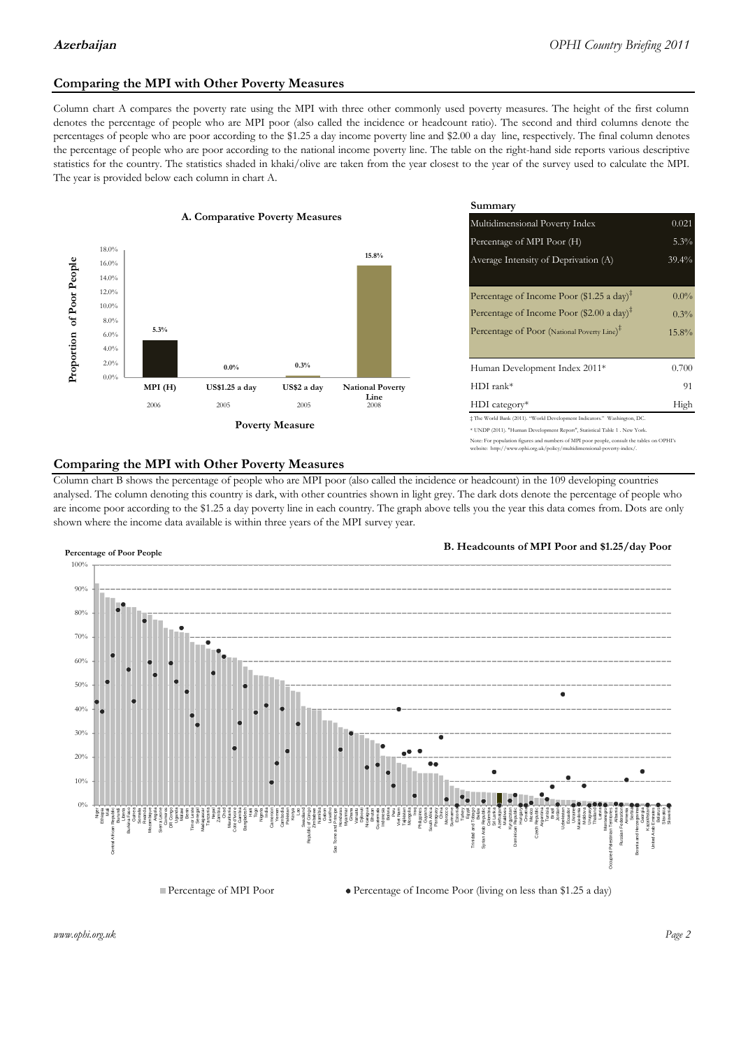## **Comparing the MPI with Other Poverty Measures**

Column chart A compares the poverty rate using the MPI with three other commonly used poverty measures. The height of the first column denotes the percentage of people who are MPI poor (also called the incidence or headcount ratio). The second and third columns denote the percentages of people who are poor according to the \$1.25 a day income poverty line and \$2.00 a day line, respectively. The final column denotes the percentage of people who are poor according to the national income poverty line. The table on the right-hand side reports various descriptive statistics for the country. The statistics shaded in khaki/olive are taken from the year closest to the year of the survey used to calculate the MPI. The year is provided below each column in chart A.



|                |                         | Summary                                                                                                                                                    |          |  |  |
|----------------|-------------------------|------------------------------------------------------------------------------------------------------------------------------------------------------------|----------|--|--|
| erty Measures  |                         | Multidimensional Poverty Index<br>0.021                                                                                                                    |          |  |  |
|                |                         | Percentage of MPI Poor (H)                                                                                                                                 | 5.3%     |  |  |
|                | 15.8%                   | Average Intensity of Deprivation (A)                                                                                                                       | 39.4%    |  |  |
|                |                         | Percentage of Income Poor (\$1.25 a day) <sup><math>\ddagger</math></sup>                                                                                  | $0.0\%$  |  |  |
|                |                         | Percentage of Income Poor (\$2.00 a day) <sup><math>\bar{x}</math></sup>                                                                                   | 0.3%     |  |  |
|                |                         | Percentage of Poor (National Poverty Line) <sup>†</sup>                                                                                                    | $15.8\%$ |  |  |
| 0.3%           |                         | Human Development Index 2011*                                                                                                                              | 0.700    |  |  |
| US\$2 a day    | <b>National Poverty</b> | $HDI$ rank*                                                                                                                                                | 91       |  |  |
| 2005           | Line<br>2008            | $HDI category*$                                                                                                                                            | High     |  |  |
| <b>Aeasure</b> |                         | $\pm$ The World Bank (2011). "World Development Indicators." Washington, DC.<br>* UNDP (2011). "Human Development Report", Statistical Table 1 . New York. |          |  |  |

### te: For population figures and numbers of MPI poor people, consult the tables on OPHI's te: http://www.ophi.org.uk/policy/multidimensional-poverty-index/

### **Comparing the MPI with Other Poverty Measures**

Column chart B shows the percentage of people who are MPI poor (also called the incidence or headcount) in the 109 developing countries analysed. The column denoting this country is dark, with other countries shown in light grey. The dark dots denote the percentage of people who are income poor according to the \$1.25 a day poverty line in each country. The graph above tells you the year this data comes from. Dots are only shown where the income data available is within three years of the MPI survey year.



**B. Headcounts of MPI Poor and \$1.25/day Poor**

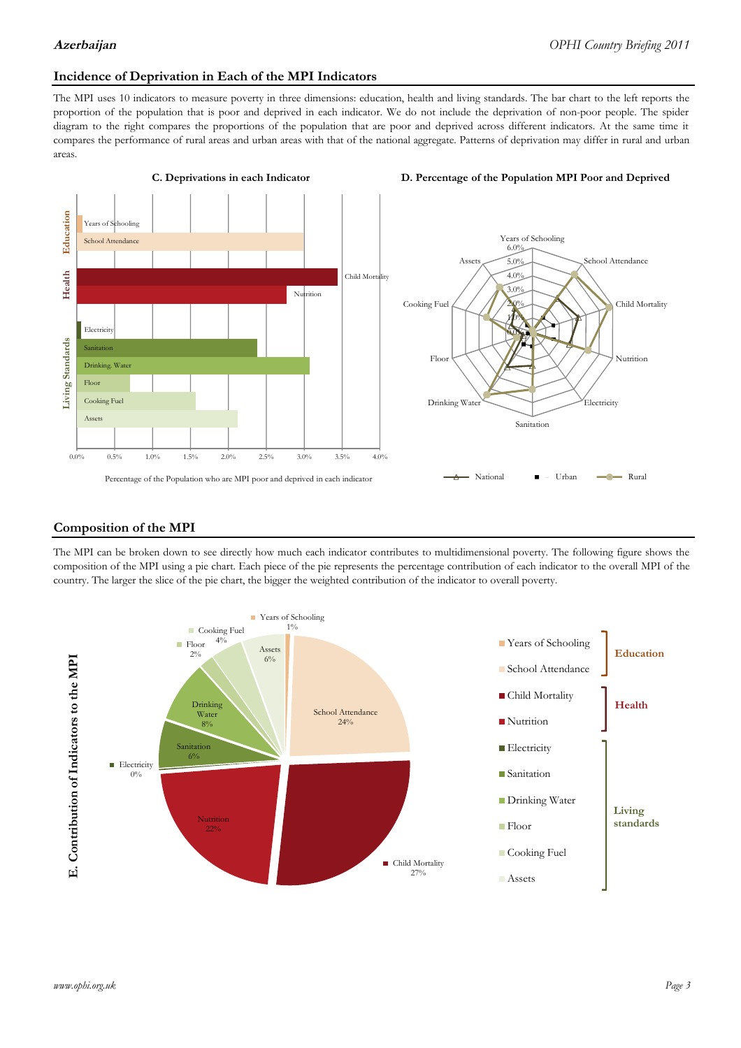## **Incidence of Deprivation in Each of the MPI Indicators**

The MPI uses 10 indicators to measure poverty in three dimensions: education, health and living standards. The bar chart to the left reports the proportion of the population that is poor and deprived in each indicator. We do not include the deprivation of non-poor people. The spider diagram to the right compares the proportions of the population that are poor and deprived across different indicators. At the same time it compares the performance of rural areas and urban areas with that of the national aggregate. Patterns of deprivation may differ in rural and urban areas.



### **Composition of the MPI**

The MPI can be broken down to see directly how much each indicator contributes to multidimensional poverty. The following figure shows the composition of the MPI using a pie chart. Each piece of the pie represents the percentage contribution of each indicator to the overall MPI of the country. The larger the slice of the pie chart, the bigger the weighted contribution of the indicator to overall poverty.